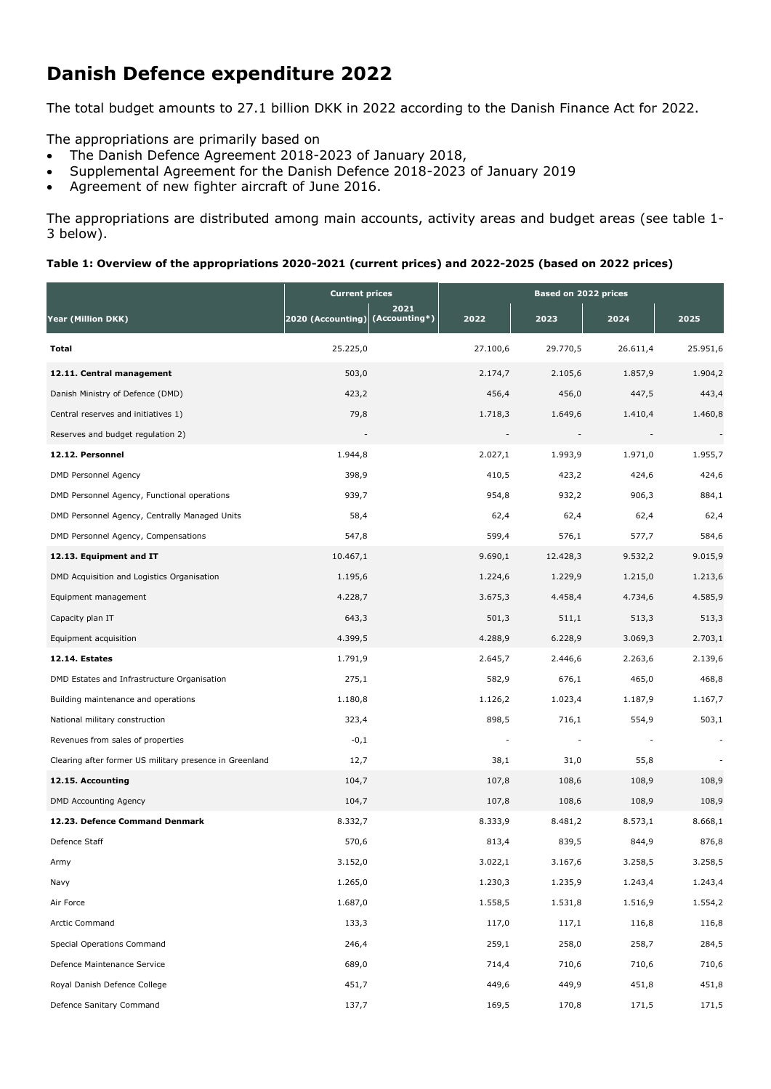# **Danish Defence expenditure 2022**

The total budget amounts to 27.1 billion DKK in 2022 according to the Danish Finance Act for 2022.

The appropriations are primarily based on

- The Danish Defence Agreement 2018-2023 of January 2018,
- Supplemental Agreement for the Danish Defence 2018-2023 of January 2019
- Agreement of new fighter aircraft of June 2016.

The appropriations are distributed among main accounts, activity areas and budget areas (see table 1- 3 below).

### **Table 1: Overview of the appropriations 2020-2021 (current prices) and 2022-2025 (based on 2022 prices)**

|                                                         | <b>Current prices</b>                   |          | Based on 2022 prices |          |          |  |  |
|---------------------------------------------------------|-----------------------------------------|----------|----------------------|----------|----------|--|--|
| Year (Million DKK)                                      | 2021<br>2020 (Accounting) (Accounting*) | 2022     | 2023                 | 2024     | 2025     |  |  |
| Total                                                   | 25.225,0                                | 27.100,6 | 29.770,5             | 26.611,4 | 25.951,6 |  |  |
| 12.11. Central management                               | 503,0                                   | 2.174,7  | 2.105,6              | 1.857,9  | 1.904,2  |  |  |
| Danish Ministry of Defence (DMD)                        | 423,2                                   | 456,4    | 456,0                | 447,5    | 443,4    |  |  |
| Central reserves and initiatives 1)                     | 79,8                                    | 1.718,3  | 1.649,6              | 1.410,4  | 1.460,8  |  |  |
| Reserves and budget regulation 2)                       |                                         |          |                      |          |          |  |  |
| 12.12. Personnel                                        | 1.944,8                                 | 2.027,1  | 1.993,9              | 1.971,0  | 1.955,7  |  |  |
| <b>DMD Personnel Agency</b>                             | 398,9                                   | 410,5    | 423,2                | 424,6    | 424,6    |  |  |
| DMD Personnel Agency, Functional operations             | 939,7                                   | 954,8    | 932,2                | 906,3    | 884,1    |  |  |
| DMD Personnel Agency, Centrally Managed Units           | 58,4                                    | 62,4     | 62,4                 | 62,4     | 62,4     |  |  |
| DMD Personnel Agency, Compensations                     | 547,8                                   | 599,4    | 576,1                | 577,7    | 584,6    |  |  |
| 12.13. Equipment and IT                                 | 10.467,1                                | 9.690,1  | 12.428,3             | 9.532,2  | 9.015,9  |  |  |
| DMD Acquisition and Logistics Organisation              | 1.195,6                                 | 1.224,6  | 1.229,9              | 1.215,0  | 1.213,6  |  |  |
| Equipment management                                    | 4.228,7                                 | 3.675,3  | 4.458,4              | 4.734,6  | 4.585,9  |  |  |
| Capacity plan IT                                        | 643,3                                   | 501,3    | 511,1                | 513,3    | 513,3    |  |  |
| Equipment acquisition                                   | 4.399,5                                 | 4.288,9  | 6.228,9              | 3.069,3  | 2.703,1  |  |  |
| 12.14. Estates                                          | 1.791,9                                 | 2.645,7  | 2.446,6              | 2.263,6  | 2.139,6  |  |  |
| DMD Estates and Infrastructure Organisation             | 275,1                                   | 582,9    | 676,1                | 465,0    | 468,8    |  |  |
| Building maintenance and operations                     | 1.180,8                                 | 1.126,2  | 1.023,4              | 1.187,9  | 1.167,7  |  |  |
| National military construction                          | 323,4                                   | 898,5    | 716,1                | 554,9    | 503,1    |  |  |
| Revenues from sales of properties                       | $-0,1$                                  |          |                      |          |          |  |  |
| Clearing after former US military presence in Greenland | 12,7                                    | 38,1     | 31,0                 | 55,8     |          |  |  |
| 12.15. Accounting                                       | 104,7                                   | 107,8    | 108,6                | 108,9    | 108,9    |  |  |
| <b>DMD Accounting Agency</b>                            | 104,7                                   | 107,8    | 108,6                | 108,9    | 108,9    |  |  |
| 12.23. Defence Command Denmark                          | 8.332,7                                 | 8.333,9  | 8.481,2              | 8.573,1  | 8.668,1  |  |  |
| Defence Staff                                           | 570,6                                   | 813,4    | 839,5                | 844,9    | 876,8    |  |  |
| Army                                                    | 3.152,0                                 | 3.022,1  | 3.167,6              | 3.258,5  | 3.258,5  |  |  |
| Navy                                                    | 1.265,0                                 | 1.230,3  | 1.235,9              | 1.243,4  | 1.243,4  |  |  |
| Air Force                                               | 1.687,0                                 | 1.558,5  | 1.531,8              | 1.516,9  | 1.554,2  |  |  |
| <b>Arctic Command</b>                                   | 133,3                                   | 117,0    | 117,1                | 116,8    | 116,8    |  |  |
| Special Operations Command                              | 246,4                                   | 259,1    | 258,0                | 258,7    | 284,5    |  |  |
| Defence Maintenance Service                             | 689,0                                   | 714,4    | 710,6                | 710,6    | 710,6    |  |  |
| Royal Danish Defence College                            | 451,7                                   | 449,6    | 449,9                | 451,8    | 451,8    |  |  |
| Defence Sanitary Command                                | 137,7                                   | 169,5    | 170,8                | 171,5    | 171,5    |  |  |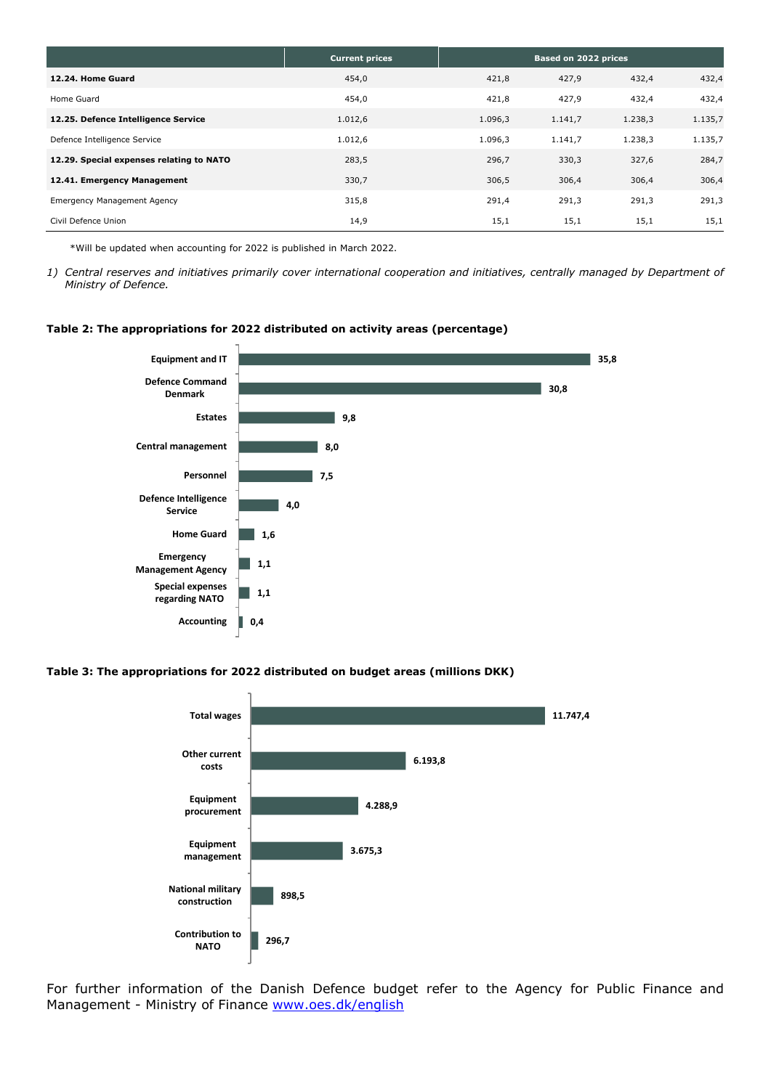|                                          | <b>Current prices</b> | Based on 2022 prices |         |         |         |
|------------------------------------------|-----------------------|----------------------|---------|---------|---------|
| 12.24. Home Guard                        | 454,0                 | 421,8                | 427,9   | 432,4   | 432,4   |
| Home Guard                               | 454,0                 | 421,8                | 427,9   | 432,4   | 432,4   |
| 12.25. Defence Intelligence Service      | 1.012,6               | 1.096,3              | 1.141,7 | 1.238,3 | 1.135,7 |
| Defence Intelligence Service             | 1.012,6               | 1.096,3              | 1.141,7 | 1.238,3 | 1.135,7 |
| 12.29. Special expenses relating to NATO | 283,5                 | 296,7                | 330,3   | 327,6   | 284,7   |
| 12.41. Emergency Management              | 330,7                 | 306,5                | 306,4   | 306,4   | 306,4   |
| <b>Emergency Management Agency</b>       | 315,8                 | 291,4                | 291,3   | 291,3   | 291,3   |
| Civil Defence Union                      | 14,9                  | 15,1                 | 15,1    | 15,1    | 15,1    |

\*Will be updated when accounting for 2022 is published in March 2022.

#### **Table 2: The appropriations for 2022 distributed on activity areas (percentage)**



#### **Table 3: The appropriations for 2022 distributed on budget areas (millions DKK)**



For further information of the Danish Defence budget refer to the Agency for Public Finance and Management - Ministry of Finance [www.oes.dk/english](http://www.oes.dk/english)

*<sup>1)</sup> Central reserves and initiatives primarily cover international cooperation and initiatives, centrally managed by Department of Ministry of Defence.*